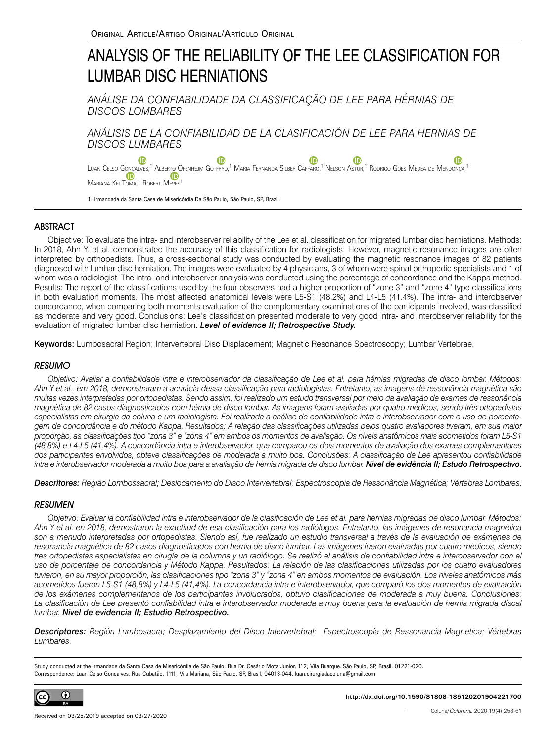# ANALYSIS OF THE RELIABILITY OF THE LEE CLASSIFICATION FOR LUMBAR DISC HERNIATIONS

*ANÁLISE DA CONFIABILIDADE DA CLASSIFICAÇÃO DE LEE PARA HÉRNIAS DE DISCOS LOMBARES*

*ANÁLISIS DE LA CONFIABILIDAD DE LA CLASIFICACIÓN DE LEE PARA HERNIAS DE DISCOS LUMBARES*

Œ **ID ID** Luan Celso Go<u>n</u>çalves[,](https://orcid.org/0000-0002-2608-2118)<sup>1</sup> [A](https://orcid.org/0000-0002-2608-2118)lbert<u>o</u> Ofenhejm Gotfryd,<sup>1</sup> Maria Fernanda Silber Caffaro,<sup>1</sup> Nelson Astur,<sup>1</sup> Rodrigo Goes Medéa de Mendonça,<sup>1</sup> [M](https://orcid.org/0000-0002-8695-3982)ariana Kei Toma,<sup>[1](https://orcid.org/0000-0002-8695-3982)</sup> Robert Meves<sup>1</sup>

1. Irmandade da Santa Casa de Misericórdia De São Paulo, São Paulo, SP, Brazil.

# **ABSTRACT**

Objective: To evaluate the intra- and interobserver reliability of the Lee et al. classification for migrated lumbar disc herniations. Methods: In 2018, Ahn Y. et al. demonstrated the accuracy of this classification for radiologists. However, magnetic resonance images are often interpreted by orthopedists. Thus, a cross-sectional study was conducted by evaluating the magnetic resonance images of 82 patients diagnosed with lumbar disc herniation. The images were evaluated by 4 physicians, 3 of whom were spinal orthopedic specialists and 1 of whom was a radiologist. The intra- and interobserver analysis was conducted using the percentage of concordance and the Kappa method. Results: The report of the classifications used by the four observers had a higher proportion of "zone 3" and "zone 4" type classifications in both evaluation moments. The most affected anatomical levels were L5-S1 (48.2%) and L4-L5 (41.4%). The intra- and interobserver concordance, when comparing both moments evaluation of the complementary examinations of the participants involved, was classified as moderate and very good. Conclusions: Lee's classification presented moderate to very good intra- and interobserver reliability for the evaluation of migrated lumbar disc herniation. *Level of evidence II; Retrospective Study.*

Keywords: Lumbosacral Region; Intervertebral Disc Displacement; Magnetic Resonance Spectroscopy; Lumbar Vertebrae.

## **RESUMO**

*Objetivo: Avaliar a confiabilidade intra e interobservador da classificação de Lee et al. para hérnias migradas de disco lombar. Métodos: Ahn Y et al., em 2018, demonstraram a acurácia dessa classificação para radiologistas. Entretanto, as imagens de ressonância magnética são muitas vezes interpretadas por ortopedistas. Sendo assim, foi realizado um estudo transversal por meio da avaliação de exames de ressonância magnética de 82 casos diagnosticados com hérnia de disco lombar. As imagens foram avaliadas por quatro médicos, sendo três ortopedistas especialistas em cirurgia da coluna e um radiologista. Foi realizada a análise de confiabilidade intra e interobservador com o uso de porcentagem de concordância e do método Kappa. Resultados: A relação das classificações utilizadas pelos quatro avaliadores tiveram, em sua maior proporção, as classificações tipo "zona 3" e "zona 4" em ambos os momentos de avaliação. Os níveis anatômicos mais acometidos foram L5-S1 (48,8%) e L4-L5 (41,4%). A concordância intra e interobservador, que comparou os dois momentos de avaliação dos exames complementares dos participantes envolvidos, obteve classificações de moderada a muito boa. Conclusões: A classificação de Lee apresentou confiabilidade intra e interobservador moderada a muito boa para a avaliação de hérnia migrada de disco lombar. Nível de evidência II; Estudo Retrospectivo.*

*Descritores: Região Lombossacral; Deslocamento do Disco Intervertebral; Espectroscopia de Ressonância Magnética; Vértebras Lombares.* 

## **RESUMEN**

*Objetivo: Evaluar la confiabilidad intra e interobservador de la clasificación de Lee et al. para hernias migradas de disco lumbar. Métodos: Ahn Y et al. en 2018, demostraron la exactitud de esa clasificación para los radiólogos. Entretanto, las imágenes de resonancia magnética son a menudo interpretadas por ortopedistas. Siendo así, fue realizado un estudio transversal a través de la evaluación de exámenes de resonancia magnética de 82 casos diagnosticados con hernia de disco lumbar. Las imágenes fueron evaluadas por cuatro médicos, siendo*  tres ortopedistas especialistas en cirugía de la columna y un radiólogo. Se realizó el análisis de confiabilidad intra e interobservador con el *uso de porcentaje de concordancia y Método Kappa. Resultados: La relación de las clasificaciones utilizadas por los cuatro evaluadores tuvieron, en su mayor proporción, las clasificaciones tipo "zona 3" y "zona 4" en ambos momentos de evaluación. Los niveles anatómicos más acometidos fueron L5-S1 (48,8%) y L4-L5 (41,4%). La concordancia intra e interobservador, que comparó los dos momentos de evaluación de los exámenes complementarios de los participantes involucrados, obtuvo clasificaciones de moderada a muy buena. Conclusiones: La clasificación de Lee presentó confiabilidad intra e interobservador moderada a muy buena para la evaluación de hernia migrada discal lumbar. Nivel de evidencia II; Estudio Retrospectivo.*

*Descriptores: Región Lumbosacra; Desplazamiento del Disco Intervertebral; Espectroscopía de Ressonancia Magnetica; Vértebras Lumbares.* 

Study conducted at the Irmandade da Santa Casa de Misericórdia de São Paulo. Rua Dr. Cesário Mota Junior, 112, Vila Buarque, São Paulo, SP, Brasil. 01221-020. Correspondence: Luan Celso Gonçalves. Rua Cubatão, 1111, Vila Mariana, São Paulo, SP, Brasil. 04013-044. luan.cirurgiadacoluna@gmail.com



**http://dx.doi.org/10.1590/S1808-185120201904221700**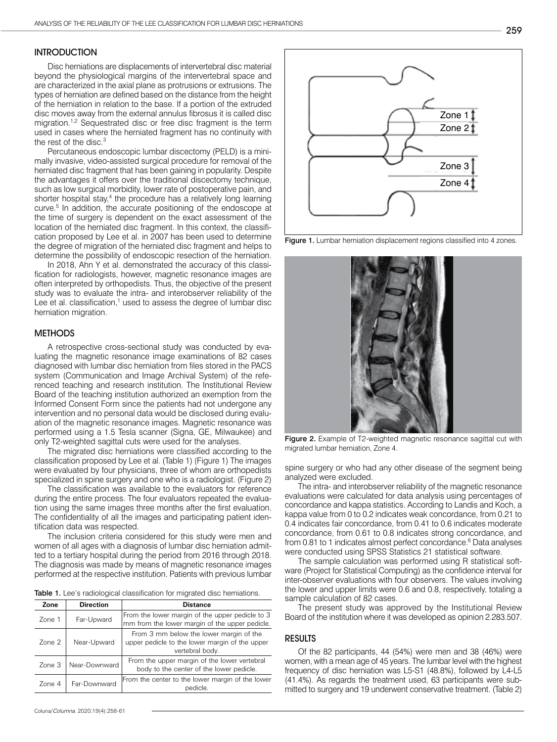## **INTRODUCTION**

Disc herniations are displacements of intervertebral disc material beyond the physiological margins of the intervertebral space and are characterized in the axial plane as protrusions or extrusions. The types of herniation are defined based on the distance from the height of the herniation in relation to the base. If a portion of the extruded disc moves away from the external annulus fibrosus it is called disc migration.<sup>1,2</sup> Sequestrated disc or free disc fragment is the term used in cases where the herniated fragment has no continuity with the rest of the disc.<sup>3</sup>

Percutaneous endoscopic lumbar discectomy (PELD) is a minimally invasive, video-assisted surgical procedure for removal of the herniated disc fragment that has been gaining in popularity. Despite the advantages it offers over the traditional discectomy technique, such as low surgical morbidity, lower rate of postoperative pain, and shorter hospital stay,<sup>4</sup> the procedure has a relatively long learning curve.5 In addition, the accurate positioning of the endoscope at the time of surgery is dependent on the exact assessment of the location of the herniated disc fragment. In this context, the classification proposed by Lee et al. in 2007 has been used to determine the degree of migration of the herniated disc fragment and helps to determine the possibility of endoscopic resection of the herniation.

In 2018, Ahn Y et al. demonstrated the accuracy of this classification for radiologists, however, magnetic resonance images are often interpreted by orthopedists. Thus, the objective of the present study was to evaluate the intra- and interobserver reliability of the Lee et al. classification,<sup>1</sup> used to assess the degree of lumbar disc herniation migration.

#### **METHODS**

A retrospective cross-sectional study was conducted by evaluating the magnetic resonance image examinations of 82 cases diagnosed with lumbar disc herniation from files stored in the PACS system (Communication and Image Archival System) of the referenced teaching and research institution. The Institutional Review Board of the teaching institution authorized an exemption from the Informed Consent Form since the patients had not undergone any intervention and no personal data would be disclosed during evaluation of the magnetic resonance images. Magnetic resonance was performed using a 1.5 Tesla scanner (Signa, GE, Milwaukee) and only T2-weighted sagittal cuts were used for the analyses.

The migrated disc herniations were classified according to the classification proposed by Lee et al. (Table 1) (Figure 1) The images were evaluated by four physicians, three of whom are orthopedists specialized in spine surgery and one who is a radiologist. (Figure 2)

The classification was available to the evaluators for reference during the entire process. The four evaluators repeated the evaluation using the same images three months after the first evaluation. The confidentiality of all the images and participating patient identification data was respected.

The inclusion criteria considered for this study were men and women of all ages with a diagnosis of lumbar disc herniation admitted to a tertiary hospital during the period from 2016 through 2018. The diagnosis was made by means of magnetic resonance images performed at the respective institution. Patients with previous lumbar

Table 1. Lee's radiological classification for migrated disc herniations.

| Zone              | <b>Direction</b> | <b>Distance</b>                                                                                              |
|-------------------|------------------|--------------------------------------------------------------------------------------------------------------|
| Zone 1            | Far-Upward       | From the lower margin of the upper pedicle to 3<br>mm from the lower margin of the upper pedicle.            |
| $Z$ one $2$       | Near-Upward      | From 3 mm below the lower margin of the<br>upper pedicle to the lower margin of the upper<br>vertebral body. |
| Zone <sub>3</sub> | Near-Downward    | From the upper margin of the lower vertebral<br>body to the center of the lower pedicle.                     |
| Zone 4            | Far-Downward     | From the center to the lower margin of the lower<br>pedicle.                                                 |



Figure 1. Lumbar herniation displacement regions classified into 4 zones.



Figure 2. Example of T2-weighted magnetic resonance sagittal cut with migrated lumbar herniation, Zone 4.

spine surgery or who had any other disease of the segment being analyzed were excluded.

The intra- and interobserver reliability of the magnetic resonance evaluations were calculated for data analysis using percentages of concordance and kappa statistics. According to Landis and Koch, a kappa value from 0 to 0.2 indicates weak concordance, from 0.21 to 0.4 indicates fair concordance, from 0.41 to 0.6 indicates moderate concordance, from 0.61 to 0.8 indicates strong concordance, and from 0.81 to 1 indicates almost perfect concordance.<sup>6</sup> Data analyses were conducted using SPSS Statistics 21 statistical software.

The sample calculation was performed using R statistical software (Project for Statistical Computing) as the confidence interval for inter-observer evaluations with four observers. The values involving the lower and upper limits were 0.6 and 0.8, respectively, totaling a sample calculation of 82 cases.

The present study was approved by the Institutional Review Board of the institution where it was developed as opinion 2.283.507.

### RESULTS

Of the 82 participants, 44 (54%) were men and 38 (46%) were women, with a mean age of 45 years. The lumbar level with the highest frequency of disc herniation was L5-S1 (48.8%), followed by L4-L5 (41.4%). As regards the treatment used, 63 participants were submitted to surgery and 19 underwent conservative treatment. (Table 2)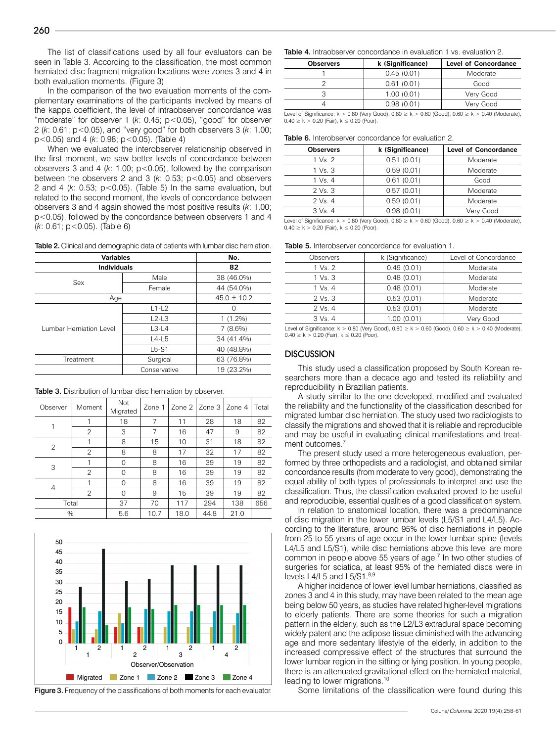The list of classifications used by all four evaluators can be seen in Table 3. According to the classification, the most common herniated disc fragment migration locations were zones 3 and 4 in both evaluation moments. (Figure 3)

In the comparison of the two evaluation moments of the complementary examinations of the participants involved by means of the kappa coefficient, the level of intraobserver concordance was "moderate" for observer 1 (*k*: 0.45; p<0.05), "good" for observer 2 (*k*: 0.61; p<0.05), and "very good" for both observers 3 (*k*: 1.00; p<0.05) and 4 (*k*: 0.98; p<0.05). (Table 4)

When we evaluated the interobserver relationship observed in the first moment, we saw better levels of concordance between observers 3 and 4 (*k*: 1.00; p<0.05), followed by the comparison between the observers 2 and 3 (*k*: 0.53; p<0.05) and observers 2 and 4 (*k*: 0.53; p<0.05). (Table 5) In the same evaluation, but related to the second moment, the levels of concordance between observers 3 and 4 again showed the most positive results (*k*: 1.00; p<0.05), followed by the concordance between observers 1 and 4 (*k*: 0.61; p<0.05). (Table 6)

Table 2. Clinical and demographic data of patients with lumbar disc herniation.

| <b>Variables</b>        | No.          |                  |
|-------------------------|--------------|------------------|
| Individuals             | 82           |                  |
| Sex                     | Male         | 38 (46.0%)       |
|                         | Female       | 44 (54.0%)       |
| Age                     |              | $45.0 \pm 10.2$  |
|                         | $L1-L2$      | $\left( \right)$ |
|                         | $L2-L3$      | $1(1.2\%)$       |
| Lumbar Herniation Level | $L3-L4$      | $7(8.6\%)$       |
|                         | $L4-L5$      | 34 (41.4%)       |
|                         | $L5-S1$      | 40 (48.8%)       |
| Treatment               | Surgical     | 63 (76.8%)       |
|                         | Conservative | 19 (23.2%)       |

Table 3. Distribution of lumbar disc herniation by observer.

| Observer | Moment         | Not<br>Migrated | Zone 1 |      | Zone 2   Zone 3 | Zone 4 | Total |
|----------|----------------|-----------------|--------|------|-----------------|--------|-------|
|          |                | 18              | 7      | 11   | 28              | 18     | 82    |
|          | $\overline{2}$ | 3               | 7      | 16   | 47              | 9      | 82    |
| 2        |                | 8               | 15     | 10   | 31              | 18     | 82    |
|          | $\overline{2}$ | 8               | 8      | 17   | 32              | 17     | 82    |
| 3        |                | $\Omega$        | 8      | 16   | 39              | 19     | 82    |
|          | $\mathfrak{D}$ | 0               | 8      | 16   | 39              | 19     | 82    |
| 4        |                | 0               | 8      | 16   | 39              | 19     | 82    |
|          | $\overline{2}$ | $\Omega$        | 9      | 15   | 39              | 19     | 82    |
| Total    |                | 37              | 70     | 117  | 294             | 138    | 656   |
| $\%$     |                | 5.6             | 10.7   | 18.0 | 44.8            | 21.0   |       |



Figure 3. Frequency of the classifications of both moments for each evaluator.

#### Table 4. Intraobserver concordance in evaluation 1 vs. evaluation 2.

| k (Significance) | <b>Level of Concordance</b> |  |
|------------------|-----------------------------|--|
| 0.45(0.01)       | Moderate                    |  |
| 0.61(0.01)       | Good                        |  |
| 1.00(0.01)       | Very Good                   |  |
| 0.98(0.01)       | Verv Good                   |  |
|                  |                             |  |

Level of Significance:  $k > 0.80$  (Very Good),  $0.80 \ge k > 0.60$  (Good),  $0.60 \ge k > 0.40$  (Moderate),  $0.40 \ge k > 0.20$  (Fair),  $k \le 0.20$  (Poor).

| <b>Table 6.</b> Interobserver concordance for evaluation 2. |  |
|-------------------------------------------------------------|--|
|-------------------------------------------------------------|--|

| <b>Observers</b> | k (Significance) | <b>Level of Concordance</b> |
|------------------|------------------|-----------------------------|
| 1 Vs. 2          | 0.51(0.01)       | Moderate                    |
| 1 Vs. 3          | 0.59(0.01)       | Moderate                    |
| $1$ Vs. $4$      | 0.61(0.01)       | Good                        |
| $2$ Vs. $3$      | 0.57(0.01)       | Moderate                    |
| $2$ Vs. $4$      | 0.59(0.01)       | Moderate                    |
| $3$ Vs. $4$      | 0.98(0.01)       | Very Good                   |
|                  |                  |                             |

Level of Significance:  $k > 0.80$  (Very Good),  $0.80 \ge k > 0.60$  (Good),  $0.60 \ge k > 0.40$  (Moderate),  $0.40 \ge k > 0.20$  (Fair),  $k \le 0.20$  (Poor).

| <b>Table 5.</b> Interobserver concordance for evaluation 1. |  |
|-------------------------------------------------------------|--|
|-------------------------------------------------------------|--|

| Observers           | k (Significance) | Level of Concordance |  |
|---------------------|------------------|----------------------|--|
| $1 \text{Vs}$ . $2$ | 0.49(0.01)       | Moderate             |  |
| $1 \text{Vs}$ . $3$ | 0.48(0.01)       | Moderate             |  |
| $1$ Vs. $4$         | 0.48(0.01)       | Moderate             |  |
| 2 Vs. 3             | 0.53(0.01)       | Moderate             |  |
| $2$ Vs. 4           | 0.53(0.01)       | Moderate             |  |
| $3$ Vs. $4$         | 1.00(0.01)       | Very Good            |  |
|                     |                  |                      |  |

Level of Significance:  $k > 0.80$  (Very Good),  $0.80 \ge k > 0.60$  (Good),  $0.60 \ge k > 0.40$  (Moderate),  $0.40 \ge k > 0.20$  (Fair),  $k \le 0.20$  (Poor)

## **DISCUSSION**

This study used a classification proposed by South Korean researchers more than a decade ago and tested its reliability and reproducibility in Brazilian patients.

A study similar to the one developed, modified and evaluated the reliability and the functionality of the classification described for migrated lumbar disc herniation. The study used two radiologists to classify the migrations and showed that it is reliable and reproducible and may be useful in evaluating clinical manifestations and treatment outcomes.<sup>7</sup>

The present study used a more heterogeneous evaluation, performed by three orthopedists and a radiologist, and obtained similar concordance results (from moderate to very good), demonstrating the equal ability of both types of professionals to interpret and use the classification. Thus, the classification evaluated proved to be useful and reproducible, essential qualities of a good classification system.

In relation to anatomical location, there was a predominance of disc migration in the lower lumbar levels (L5/S1 and L4/L5). According to the literature, around 95% of disc herniations in people from 25 to 55 years of age occur in the lower lumbar spine (levels L4/L5 and L5/S1), while disc herniations above this level are more common in people above 55 years of age.<sup>7</sup> In two other studies of surgeries for sciatica, at least 95% of the herniated discs were in levels L4/L5 and L5/S1.8,9

A higher incidence of lower level lumbar herniations, classified as zones 3 and 4 in this study, may have been related to the mean age being below 50 years, as studies have related higher-level migrations to elderly patients. There are some theories for such a migration pattern in the elderly, such as the L2/L3 extradural space becoming widely patent and the adipose tissue diminished with the advancing age and more sedentary lifestyle of the elderly, in addition to the increased compressive effect of the structures that surround the lower lumbar region in the sitting or lying position. In young people, there is an attenuated gravitational effect on the herniated material, leading to lower migrations.<sup>10</sup>

Some limitations of the classification were found during this